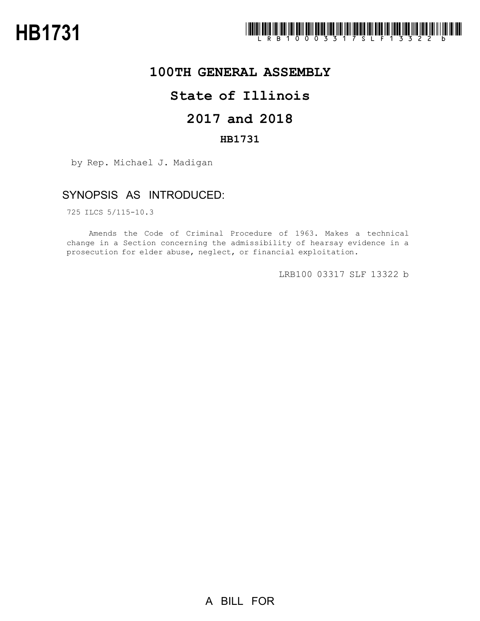

## **100TH GENERAL ASSEMBLY**

# **State of Illinois**

# **2017 and 2018**

### **HB1731**

by Rep. Michael J. Madigan

## SYNOPSIS AS INTRODUCED:

725 ILCS 5/115-10.3

Amends the Code of Criminal Procedure of 1963. Makes a technical change in a Section concerning the admissibility of hearsay evidence in a prosecution for elder abuse, neglect, or financial exploitation.

LRB100 03317 SLF 13322 b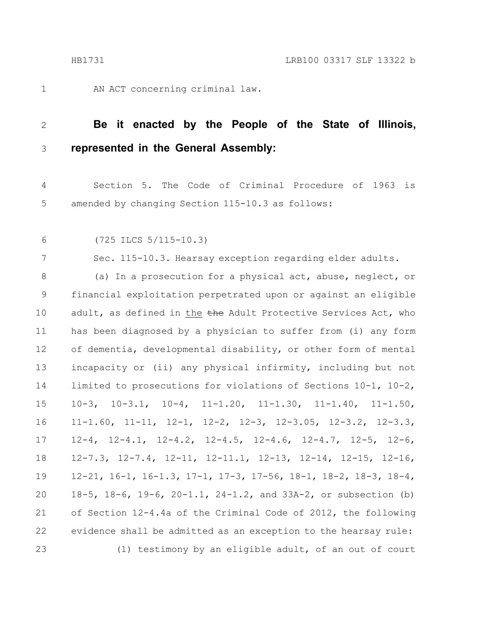AN ACT concerning criminal law.

#### **Be it enacted by the People of the State of Illinois, represented in the General Assembly:** 2 3

Section 5. The Code of Criminal Procedure of 1963 is amended by changing Section 115-10.3 as follows: 4 5

6

1

(725 ILCS 5/115-10.3)

7

Sec. 115-10.3. Hearsay exception regarding elder adults.

(a) In a prosecution for a physical act, abuse, neglect, or financial exploitation perpetrated upon or against an eligible adult, as defined in the the Adult Protective Services Act, who has been diagnosed by a physician to suffer from (i) any form of dementia, developmental disability, or other form of mental incapacity or (ii) any physical infirmity, including but not limited to prosecutions for violations of Sections 10-1, 10-2, 10-3, 10-3.1, 10-4, 11-1.20, 11-1.30, 11-1.40, 11-1.50, 11-1.60, 11-11, 12-1, 12-2, 12-3, 12-3.05, 12-3.2, 12-3.3, 12-4, 12-4.1, 12-4.2, 12-4.5, 12-4.6, 12-4.7, 12-5, 12-6, 12-7.3, 12-7.4, 12-11, 12-11.1, 12-13, 12-14, 12-15, 12-16, 12-21, 16-1, 16-1.3, 17-1, 17-3, 17-56, 18-1, 18-2, 18-3, 18-4, 18-5, 18-6, 19-6, 20-1.1, 24-1.2, and 33A-2, or subsection (b) of Section 12-4.4a of the Criminal Code of 2012, the following evidence shall be admitted as an exception to the hearsay rule: (1) testimony by an eligible adult, of an out of court 8 9 10 11 12 13 14 15 16 17 18 19 20 21 22 23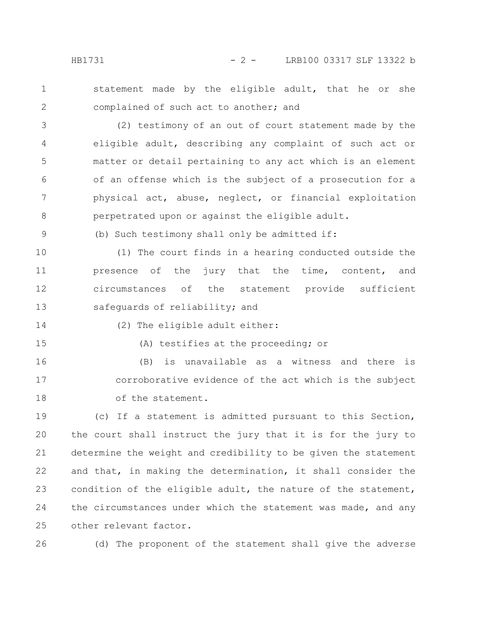1 2 statement made by the eligible adult, that he or she complained of such act to another; and

(2) testimony of an out of court statement made by the eligible adult, describing any complaint of such act or matter or detail pertaining to any act which is an element of an offense which is the subject of a prosecution for a physical act, abuse, neglect, or financial exploitation perpetrated upon or against the eligible adult. 3 4 5 6 7 8

(b) Such testimony shall only be admitted if:

(1) The court finds in a hearing conducted outside the presence of the jury that the time, content, and circumstances of the statement provide sufficient safeguards of reliability; and 10 11 12 13

14

9

(2) The eligible adult either:

15

(A) testifies at the proceeding; or

(B) is unavailable as a witness and there is corroborative evidence of the act which is the subject of the statement. 16 17 18

(c) If a statement is admitted pursuant to this Section, the court shall instruct the jury that it is for the jury to determine the weight and credibility to be given the statement and that, in making the determination, it shall consider the condition of the eligible adult, the nature of the statement, the circumstances under which the statement was made, and any other relevant factor. 19 20 21 22 23 24 25

26

(d) The proponent of the statement shall give the adverse